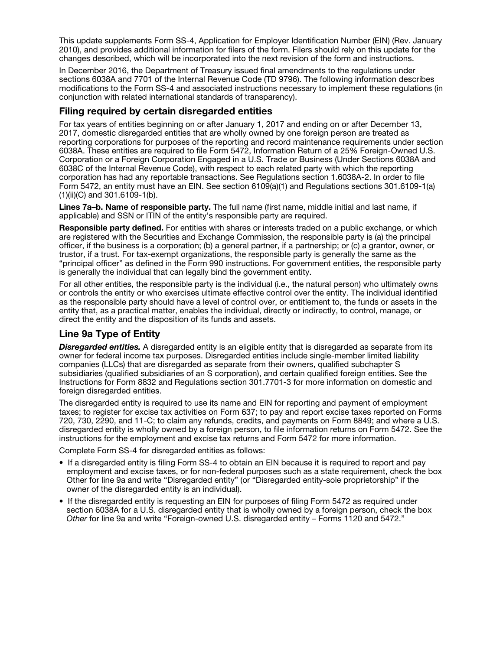This update supplements Form SS-4, Application for Employer Identification Number (EIN) (Rev. January 2010), and provides additional information for filers of the form. Filers should rely on this update for the changes described, which will be incorporated into the next revision of the form and instructions.

In December 2016, the Department of Treasury issued final amendments to the regulations under sections 6038A and 7701 of the Internal Revenue Code (TD 9796). The following information describes modifications to the Form SS-4 and associated instructions necessary to implement these regulations (in conjunction with related international standards of transparency).

## Filing required by certain disregarded entities

For tax years of entities beginning on or after January 1, 2017 and ending on or after December 13, 2017, domestic disregarded entities that are wholly owned by one foreign person are treated as reporting corporations for purposes of the reporting and record maintenance requirements under section 6038A. These entities are required to file Form 5472, Information Return of a 25% Foreign-Owned U.S. Corporation or a Foreign Corporation Engaged in a U.S. Trade or Business (Under Sections 6038A and 6038C of the Internal Revenue Code), with respect to each related party with which the reporting corporation has had any reportable transactions. See Regulations section 1.6038A-2. In order to file Form 5472, an entity must have an EIN. See section 6109(a)(1) and Regulations sections 301.6109-1(a) (1)(ii)(C) and 301.6109-1(b).

Lines 7a–b. Name of responsible party. The full name (first name, middle initial and last name, if applicable) and SSN or ITIN of the entity's responsible party are required.

Responsible party defined. For entities with shares or interests traded on a public exchange, or which are registered with the Securities and Exchange Commission, the responsible party is (a) the principal officer, if the business is a corporation; (b) a general partner, if a partnership; or (c) a grantor, owner, or trustor, if a trust. For tax-exempt organizations, the responsible party is generally the same as the "principal officer" as defined in the Form 990 instructions. For government entities, the responsible party is generally the individual that can legally bind the government entity.

For all other entities, the responsible party is the individual (i.e., the natural person) who ultimately owns or controls the entity or who exercises ultimate effective control over the entity. The individual identified as the responsible party should have a level of control over, or entitlement to, the funds or assets in the entity that, as a practical matter, enables the individual, directly or indirectly, to control, manage, or direct the entity and the disposition of its funds and assets.

## Line 9a Type of Entity

**Disregarded entities.** A disregarded entity is an eligible entity that is disregarded as separate from its owner for federal income tax purposes. Disregarded entities include single-member limited liability companies (LLCs) that are disregarded as separate from their owners, qualified subchapter S subsidiaries (qualified subsidiaries of an S corporation), and certain qualified foreign entities. See the Instructions for Form 8832 and Regulations section 301.7701-3 for more information on domestic and foreign disregarded entities.

The disregarded entity is required to use its name and EIN for reporting and payment of employment taxes; to register for excise tax activities on Form 637; to pay and report excise taxes reported on Forms 720, 730, 2290, and 11-C; to claim any refunds, credits, and payments on Form 8849; and where a U.S. disregarded entity is wholly owned by a foreign person, to file information returns on Form 5472. See the instructions for the employment and excise tax returns and Form 5472 for more information.

Complete Form SS-4 for disregarded entities as follows:

- If a disregarded entity is filing Form SS-4 to obtain an EIN because it is required to report and pay employment and excise taxes, or for non-federal purposes such as a state requirement, check the box Other for line 9a and write "Disregarded entity" (or "Disregarded entity-sole proprietorship" if the owner of the disregarded entity is an individual).
- If the disregarded entity is requesting an EIN for purposes of filing Form 5472 as required under section 6038A for a U.S. disregarded entity that is wholly owned by a foreign person, check the box *Other* for line 9a and write "Foreign-owned U.S. disregarded entity – Forms 1120 and 5472."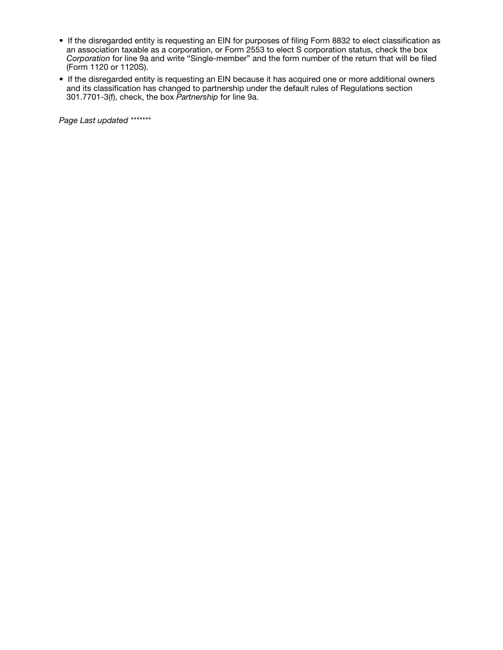- If the disregarded entity is requesting an EIN for purposes of filing Form 8832 to elect classification as an association taxable as a corporation, or Form 2553 to elect S corporation status, check the box *Corporation* for line 9a and write "Single-member" and the form number of the return that will be filed (Form 1120 or 1120S).
- If the disregarded entity is requesting an EIN because it has acquired one or more additional owners and its classification has changed to partnership under the default rules of Regulations section 301.7701-3(f), check, the box *Partnership* for line 9a.

*Page Last updated \*\*\*\*\*\*\**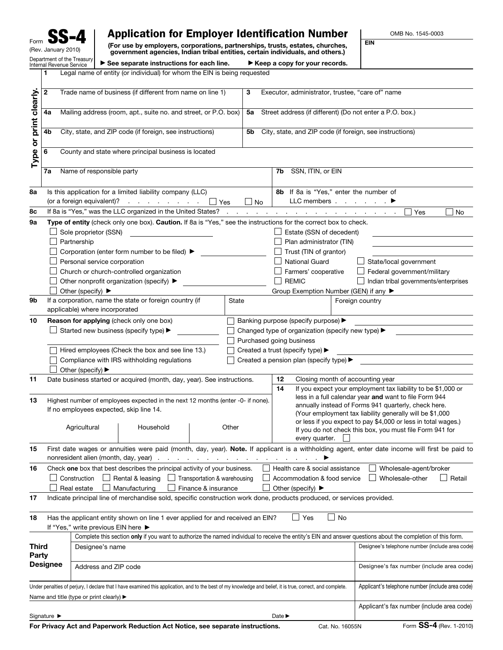| Form                                                   |
|--------------------------------------------------------|
| (Rev. January 2010)                                    |
| Department of the Treasury<br>Internal Revenue Service |

## Application for Employer Identification Number

(For use by employers, corporations, partnerships, trusts, estates, churches, government agencies, Indian tribal entities, certain individuals, and others.) a copy for your records.

OMB No. 1545-0003

EIN

|  | bartment of the Treasury   ► See separate instructions for each line.    | $\blacktriangleright$ Keep |
|--|--------------------------------------------------------------------------|----------------------------|
|  | Legal name of entity (or individual) for whom the EIN is being requested |                            |

|                        | $\mathbf{2}$                                                                                                               |                                                                                                                                                                                                                                      | Trade name of business (if different from name on line 1)                                                                                                   |                                   | 3                                                        | Executor, administrator, trustee, "care of" name       |                                                          |                                                                                                                                                |
|------------------------|----------------------------------------------------------------------------------------------------------------------------|--------------------------------------------------------------------------------------------------------------------------------------------------------------------------------------------------------------------------------------|-------------------------------------------------------------------------------------------------------------------------------------------------------------|-----------------------------------|----------------------------------------------------------|--------------------------------------------------------|----------------------------------------------------------|------------------------------------------------------------------------------------------------------------------------------------------------|
|                        | 4a                                                                                                                         |                                                                                                                                                                                                                                      | Mailing address (room, apt., suite no. and street, or P.O. box)<br>Street address (if different) (Do not enter a P.O. box.)<br>5a                           |                                   |                                                          |                                                        |                                                          |                                                                                                                                                |
|                        | 4b                                                                                                                         | City, state, and ZIP code (if foreign, see instructions)<br>5b                                                                                                                                                                       |                                                                                                                                                             |                                   | City, state, and ZIP code (if foreign, see instructions) |                                                        |                                                          |                                                                                                                                                |
| Type or print clearly. | 6                                                                                                                          |                                                                                                                                                                                                                                      | County and state where principal business is located                                                                                                        |                                   |                                                          |                                                        |                                                          |                                                                                                                                                |
|                        | 7a                                                                                                                         | Name of responsible party                                                                                                                                                                                                            |                                                                                                                                                             |                                   |                                                          | 7b SSN, ITIN, or EIN                                   |                                                          |                                                                                                                                                |
| 8а                     |                                                                                                                            | Is this application for a limited liability company (LLC)                                                                                                                                                                            |                                                                                                                                                             |                                   | 8b If 8a is "Yes," enter the number of                   |                                                        |                                                          |                                                                                                                                                |
|                        |                                                                                                                            | (or a foreign equivalent)? $\cdot \cdot \cdot \cdot \cdot \cdot \cdot \cdot$<br>LLC members ▶<br>$\Box$ No<br>and the contract of the contract of the contract of the<br>If 8a is "Yes," was the LLC organized in the United States? |                                                                                                                                                             |                                   |                                                          |                                                        |                                                          |                                                                                                                                                |
| 8c                     |                                                                                                                            |                                                                                                                                                                                                                                      |                                                                                                                                                             |                                   |                                                          |                                                        |                                                          | Yes<br>No                                                                                                                                      |
| 9a                     |                                                                                                                            |                                                                                                                                                                                                                                      | Type of entity (check only one box). Caution. If 8a is "Yes," see the instructions for the correct box to check.                                            |                                   |                                                          |                                                        |                                                          |                                                                                                                                                |
|                        |                                                                                                                            | Sole proprietor (SSN)                                                                                                                                                                                                                |                                                                                                                                                             |                                   |                                                          | Estate (SSN of decedent)                               |                                                          |                                                                                                                                                |
|                        |                                                                                                                            | Partnership                                                                                                                                                                                                                          |                                                                                                                                                             |                                   |                                                          | Plan administrator (TIN)                               |                                                          |                                                                                                                                                |
|                        |                                                                                                                            |                                                                                                                                                                                                                                      | Corporation (enter form number to be filed) ▶                                                                                                               |                                   |                                                          | Trust (TIN of grantor)                                 |                                                          |                                                                                                                                                |
|                        |                                                                                                                            | Personal service corporation                                                                                                                                                                                                         |                                                                                                                                                             |                                   |                                                          | <b>National Guard</b>                                  |                                                          | State/local government                                                                                                                         |
|                        |                                                                                                                            |                                                                                                                                                                                                                                      | Church or church-controlled organization                                                                                                                    |                                   |                                                          | Farmers' cooperative                                   |                                                          | Federal government/military                                                                                                                    |
|                        |                                                                                                                            |                                                                                                                                                                                                                                      | Other nonprofit organization (specify) ▶                                                                                                                    |                                   |                                                          | <b>REMIC</b>                                           |                                                          | Indian tribal governments/enterprises                                                                                                          |
|                        |                                                                                                                            | Other (specify) $\blacktriangleright$                                                                                                                                                                                                |                                                                                                                                                             |                                   |                                                          | Group Exemption Number (GEN) if any ▶                  |                                                          |                                                                                                                                                |
| 9b                     |                                                                                                                            |                                                                                                                                                                                                                                      | If a corporation, name the state or foreign country (if                                                                                                     | State                             |                                                          |                                                        |                                                          | Foreign country                                                                                                                                |
|                        |                                                                                                                            | applicable) where incorporated                                                                                                                                                                                                       |                                                                                                                                                             |                                   |                                                          |                                                        |                                                          |                                                                                                                                                |
| 10                     |                                                                                                                            |                                                                                                                                                                                                                                      | Reason for applying (check only one box)                                                                                                                    |                                   |                                                          | Banking purpose (specify purpose) >                    |                                                          |                                                                                                                                                |
|                        | Started new business (specify type) ▶                                                                                      |                                                                                                                                                                                                                                      |                                                                                                                                                             |                                   | Changed type of organization (specify new type) >        |                                                        |                                                          |                                                                                                                                                |
|                        |                                                                                                                            | Purchased going business                                                                                                                                                                                                             |                                                                                                                                                             |                                   |                                                          |                                                        |                                                          |                                                                                                                                                |
|                        | Hired employees (Check the box and see line 13.)                                                                           |                                                                                                                                                                                                                                      |                                                                                                                                                             | Created a trust (specify type) ▶  |                                                          |                                                        |                                                          |                                                                                                                                                |
|                        |                                                                                                                            | Compliance with IRS withholding regulations<br>Created a pension plan (specify type) ▶                                                                                                                                               |                                                                                                                                                             |                                   |                                                          |                                                        |                                                          |                                                                                                                                                |
|                        |                                                                                                                            | Other (specify) ▶                                                                                                                                                                                                                    |                                                                                                                                                             |                                   |                                                          |                                                        |                                                          |                                                                                                                                                |
| 11                     |                                                                                                                            |                                                                                                                                                                                                                                      | Date business started or acquired (month, day, year). See instructions.                                                                                     |                                   |                                                          | 12                                                     |                                                          | Closing month of accounting year                                                                                                               |
|                        |                                                                                                                            |                                                                                                                                                                                                                                      |                                                                                                                                                             |                                   |                                                          | 14                                                     |                                                          | If you expect your employment tax liability to be \$1,000 or                                                                                   |
| 13                     |                                                                                                                            |                                                                                                                                                                                                                                      |                                                                                                                                                             |                                   |                                                          | less in a full calendar year and want to file Form 944 |                                                          |                                                                                                                                                |
|                        | Highest number of employees expected in the next 12 months (enter -0- if none).<br>If no employees expected, skip line 14. |                                                                                                                                                                                                                                      |                                                                                                                                                             |                                   | annually instead of Forms 941 quarterly, check here.     |                                                        |                                                          |                                                                                                                                                |
|                        |                                                                                                                            |                                                                                                                                                                                                                                      |                                                                                                                                                             |                                   |                                                          |                                                        | (Your employment tax liability generally will be \$1,000 |                                                                                                                                                |
|                        |                                                                                                                            | Agricultural                                                                                                                                                                                                                         | Household                                                                                                                                                   | Other                             |                                                          |                                                        |                                                          | or less if you expect to pay \$4,000 or less in total wages.)                                                                                  |
|                        |                                                                                                                            |                                                                                                                                                                                                                                      |                                                                                                                                                             |                                   |                                                          | every quarter.                                         |                                                          | If you do not check this box, you must file Form 941 for                                                                                       |
|                        |                                                                                                                            |                                                                                                                                                                                                                                      |                                                                                                                                                             |                                   |                                                          |                                                        |                                                          |                                                                                                                                                |
| 15                     |                                                                                                                            | nonresident alien (month, day, year)                                                                                                                                                                                                 |                                                                                                                                                             |                                   |                                                          |                                                        |                                                          | First date wages or annuities were paid (month, day, year). Note. If applicant is a withholding agent, enter date income will first be paid to |
|                        |                                                                                                                            |                                                                                                                                                                                                                                      |                                                                                                                                                             | <b>Contract Contract Contract</b> | the contract of the contract of                          |                                                        |                                                          |                                                                                                                                                |
| 16                     |                                                                                                                            |                                                                                                                                                                                                                                      | Check one box that best describes the principal activity of your business.                                                                                  |                                   |                                                          | Health care & social assistance                        |                                                          | Wholesale-agent/broker                                                                                                                         |
|                        |                                                                                                                            | Rental & leasing<br>Construction<br>Transportation & warehousing<br>Retail<br>$\perp$<br>Accommodation & food service<br>Wholesale-other                                                                                             |                                                                                                                                                             |                                   |                                                          |                                                        |                                                          |                                                                                                                                                |
|                        |                                                                                                                            | Finance & insurance<br>Real estate<br>Manufacturing<br>Other (specify) ▶<br>Indicate principal line of merchandise sold, specific construction work done, products produced, or services provided.                                   |                                                                                                                                                             |                                   |                                                          |                                                        |                                                          |                                                                                                                                                |
| 17                     |                                                                                                                            |                                                                                                                                                                                                                                      |                                                                                                                                                             |                                   |                                                          |                                                        |                                                          |                                                                                                                                                |
| 18                     |                                                                                                                            | If "Yes," write previous EIN here ▶                                                                                                                                                                                                  | Has the applicant entity shown on line 1 ever applied for and received an EIN?                                                                              |                                   |                                                          | _l Yes                                                 | No                                                       |                                                                                                                                                |
|                        |                                                                                                                            |                                                                                                                                                                                                                                      |                                                                                                                                                             |                                   |                                                          |                                                        |                                                          |                                                                                                                                                |
| <b>Third</b>           |                                                                                                                            | Complete this section only if you want to authorize the named individual to receive the entity's EIN and answer questions about the completion of this form.                                                                         |                                                                                                                                                             |                                   |                                                          |                                                        | Designee's telephone number (include area code)          |                                                                                                                                                |
| Party                  |                                                                                                                            | Designee's name                                                                                                                                                                                                                      |                                                                                                                                                             |                                   |                                                          |                                                        |                                                          |                                                                                                                                                |
|                        |                                                                                                                            |                                                                                                                                                                                                                                      |                                                                                                                                                             |                                   |                                                          |                                                        |                                                          |                                                                                                                                                |
| <b>Designee</b>        |                                                                                                                            | Address and ZIP code                                                                                                                                                                                                                 |                                                                                                                                                             |                                   |                                                          |                                                        |                                                          | Designee's fax number (include area code)                                                                                                      |
|                        |                                                                                                                            |                                                                                                                                                                                                                                      |                                                                                                                                                             |                                   |                                                          |                                                        |                                                          |                                                                                                                                                |
|                        |                                                                                                                            |                                                                                                                                                                                                                                      | Under penalties of perjury, I declare that I have examined this application, and to the best of my knowledge and belief, it is true, correct, and complete. |                                   |                                                          |                                                        |                                                          | Applicant's telephone number (include area code)                                                                                               |
|                        |                                                                                                                            | Name and title (type or print clearly) ▶                                                                                                                                                                                             |                                                                                                                                                             |                                   |                                                          |                                                        |                                                          |                                                                                                                                                |
|                        |                                                                                                                            |                                                                                                                                                                                                                                      |                                                                                                                                                             |                                   |                                                          |                                                        |                                                          | Applicant's fax number (include area code)                                                                                                     |
|                        | Signature ▶                                                                                                                |                                                                                                                                                                                                                                      |                                                                                                                                                             |                                   |                                                          | Date $\blacktriangleright$                             |                                                          |                                                                                                                                                |
|                        |                                                                                                                            |                                                                                                                                                                                                                                      | For Privacy Act and Paperwork Reduction Act Notice, see separate instructions.                                                                              |                                   |                                                          |                                                        | Cat. No. 16055N                                          | Form SS-4 (Rev. 1-2010)                                                                                                                        |